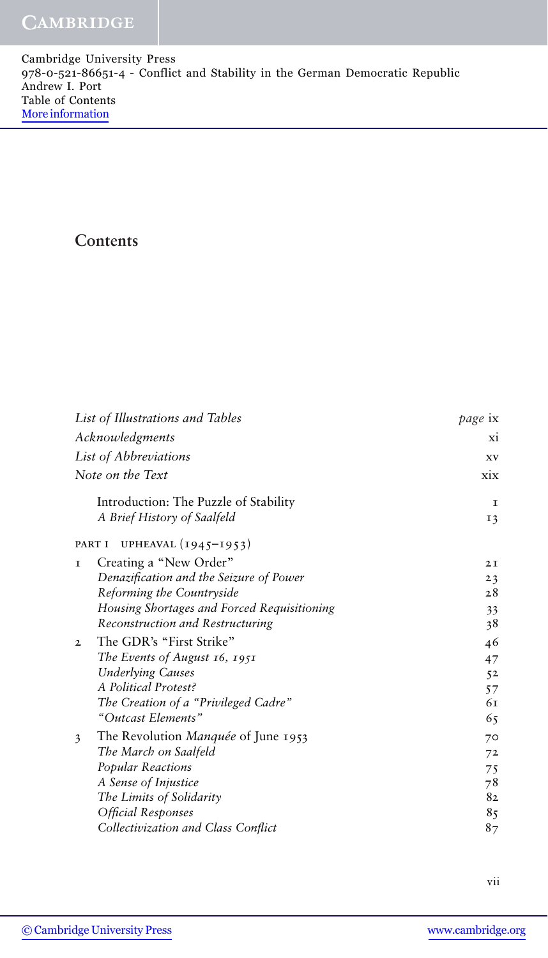| Cambridge University Press                                                   |  |
|------------------------------------------------------------------------------|--|
| 978-0-521-86651-4 - Conflict and Stability in the German Democratic Republic |  |
| Andrew I. Port                                                               |  |
| Table of Contents                                                            |  |
| More information                                                             |  |

## **Contents**

| List of Illustrations and Tables            | page ix   |
|---------------------------------------------|-----------|
| Acknowledgments                             | <b>XI</b> |
| List of Abbreviations                       | XV        |
| Note on the Text                            | xix       |
| Introduction: The Puzzle of Stability       | I         |
| A Brief History of Saalfeld                 | 13        |
| UPHEAVAL (1945-1953)<br>PART I              |           |
| Creating a "New Order"<br>$\mathbf{T}$      | 2I        |
| Denazification and the Seizure of Power     | 23        |
| Reforming the Countryside                   | 28        |
| Housing Shortages and Forced Requisitioning | 33        |
| Reconstruction and Restructuring            | 38        |
| The GDR's "First Strike"<br>$\overline{2}$  | 46        |
| The Events of August $16, 1951$             | 47        |
| <b>Underlying Causes</b>                    | 52        |
| A Political Protest?                        | 57        |
| The Creation of a "Privileged Cadre"        | 61        |
| "Outcast Elements"                          | 65        |
| The Revolution Manquée of June 1953<br>3    | 70        |
| The March on Saalfeld                       | 72        |
| Popular Reactions                           | 75        |
| A Sense of Injustice                        | 78        |
| The Limits of Solidarity                    | 82        |
| Official Responses                          | 85        |
| Collectivization and Class Conflict         | 87        |